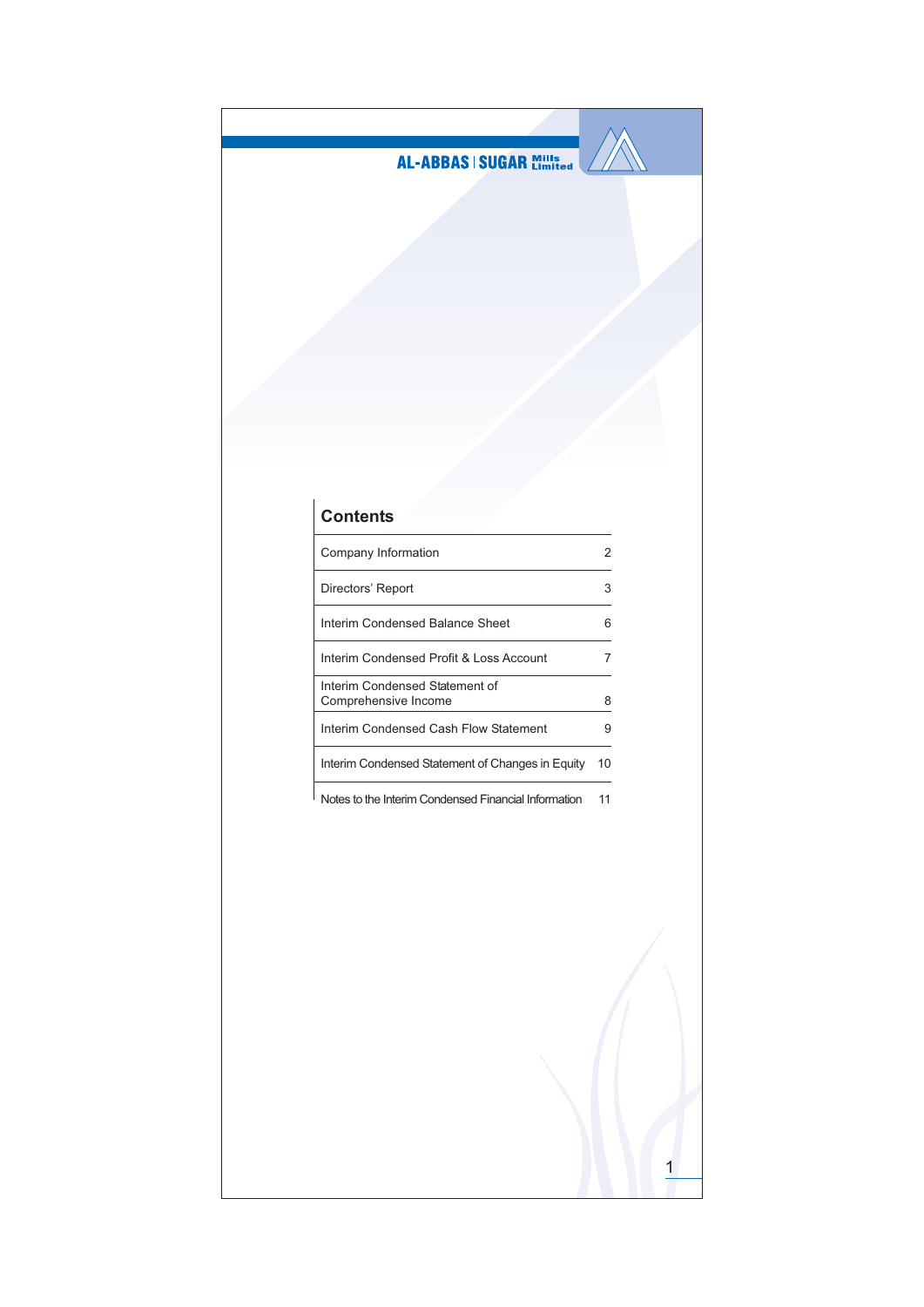

## **Contents**

| Company Information                                    |    |
|--------------------------------------------------------|----|
| Directors' Report                                      | З  |
| Interim Condensed Balance Sheet                        |    |
| Interim Condensed Profit & Loss Account                |    |
| Interim Condensed Statement of<br>Comprehensive Income | 8  |
| Interim Condensed Cash Flow Statement                  |    |
| Interim Condensed Statement of Changes in Equity       | 10 |
|                                                        |    |

Notes to the Interim Condensed Financial Information 11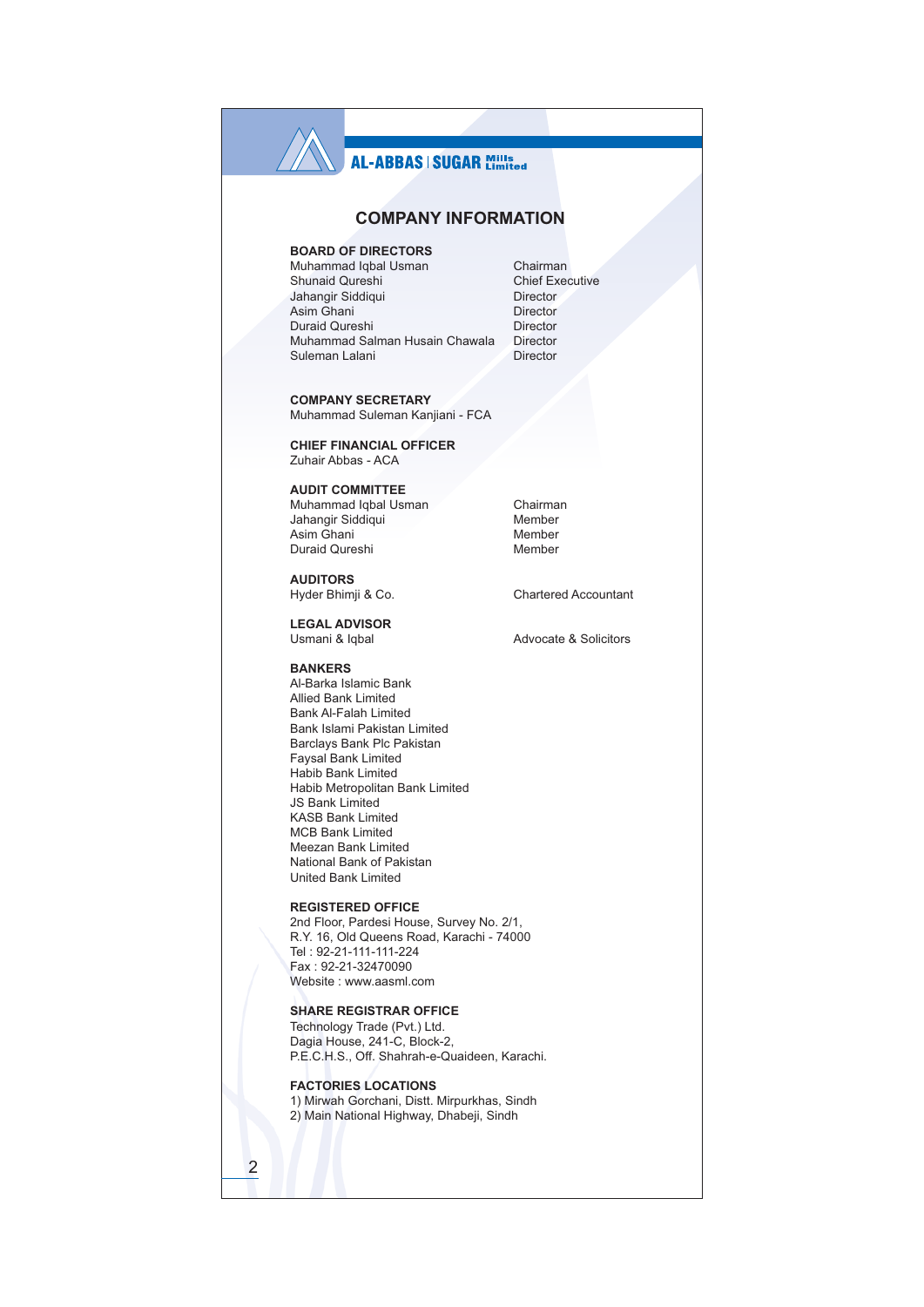## **AL-ABBAS | SUGAR Millisterd**

## **COMPANY INFORMATION**

## **BOARD OF DIRECTORS**

Muhammad Igbal Usman Shunaid Qureshi Jahangir Siddiqui Asim Ghani Duraid Qureshi Muhammad Salman Husain Chawala Suleman Lalani

**COMPANY SECRETARY** Muhammad Suleman Kanjiani - FCA

**CHIEF FINANCIAL OFFICER** Zuhair Abbas - ACA

**AUDIT COMMITTEE** Muhammad Iqbal Usman Jahangir Siddiqui Asim Ghani Duraid Qureshi

**AUDITORS** Hyder Bhimii & Co.

**LEGAL ADVISOR** Usmani & Iqbal

**BANKERS** Al-Barka Islamic Bank **Allied Bank Limited Bank Al-Falah Limited** Bank Islami Pakistan Limited Barclays Bank Plc Pakistan Favsal Bank Limited Habib Bank Limited Habib Metropolitan Bank Limited **JS Bank Limited KASB Bank I imited MCB Bank Limited** 

**REGISTERED OFFICE** 

Meezan Bank Limited National Bank of Pakistan **United Bank Limited** 

2nd Floor, Pardesi House, Survey No. 2/1, R.Y. 16, Old Queens Road, Karachi - 74000 Tel: 92-21-111-111-224 Fax: 92-21-32470090 Website: www.aasml.com

## **SHARE REGISTRAR OFFICE**

Technology Trade (Pvt.) Ltd. Dagia House, 241-C, Block-2, P.E.C.H.S., Off. Shahrah-e-Quaideen, Karachi.

**FACTORIES LOCATIONS** 

1) Mirwah Gorchani, Distt. Mirpurkhas, Sindh 2) Main National Highway, Dhabeji, Sindh

Director **Director** Director Director Director

Chairman **Chief Executive** 

Chairman Member Member Member

Chartered Accountant

Advocate & Solicitors

 $\overline{2}$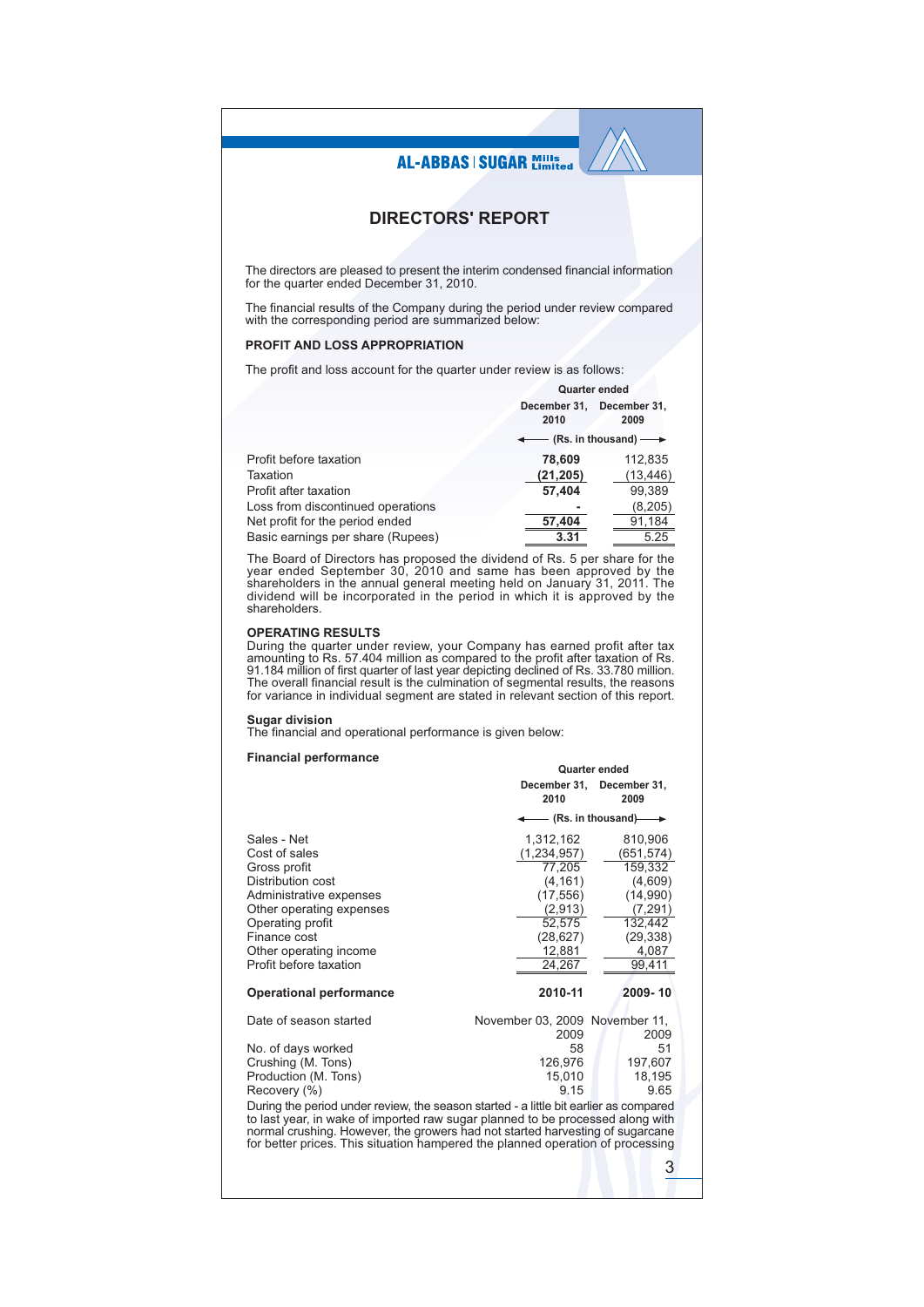## **DIRECTORS' REPORT**

The directors are pleased to present the interim condensed financial information for the quarter ended December 31, 2010.

The financial results of the Company during the period under review compared with the corresponding period are summarized below:

### PROFIT AND LOSS APPROPRIATION

The profit and loss account for the quarter under review is as follows:

|                                   | Quarter ended                                |                      |
|-----------------------------------|----------------------------------------------|----------------------|
|                                   | December 31,<br>2010                         | December 31.<br>2009 |
|                                   | $\leftarrow$ (Rs. in thousand) $\rightarrow$ |                      |
| Profit before taxation            | 78.609                                       | 112,835              |
| Taxation                          | (21, 205)                                    | (13, 446)            |
| Profit after taxation             | 57,404                                       | 99,389               |
| Loss from discontinued operations |                                              | (8, 205)             |
| Net profit for the period ended   | 57.404                                       | 91,184               |
| Basic earnings per share (Rupees) | 3.31                                         | 5.25                 |

The Board of Directors has proposed the dividend of Rs. 5 per share for the year ended September 30, 2010 and same has been approved by the shareholders in the annual general meeting held on January 31, 2011. The dividend shareholders.

### **OPERATING RESULTS**

During the quarter under review, your Company has earned profit after tax<br>amounting to Rs. 57.404 million as compared to the profit after taxation of Rs. 91.184 million of first quarter of last year depicting declined of Rs. 33.780 million. The overall financial result is the culmination of segmental results, the reasons<br>for variance in individual segment are stated in relevant section of this report.

Sugar division<br>The financial and operational performance is given below:

### **Financial performance**

|                                                                                                                                                                                                                                                                                                                                            | Quarter ended                  |                                   |  |  |  |
|--------------------------------------------------------------------------------------------------------------------------------------------------------------------------------------------------------------------------------------------------------------------------------------------------------------------------------------------|--------------------------------|-----------------------------------|--|--|--|
|                                                                                                                                                                                                                                                                                                                                            | 2010                           | December 31, December 31,<br>2009 |  |  |  |
|                                                                                                                                                                                                                                                                                                                                            |                                | $-$ (Rs. in thousand) $-$         |  |  |  |
| Sales - Net                                                                                                                                                                                                                                                                                                                                | 1,312,162                      | 810,906                           |  |  |  |
| Cost of sales                                                                                                                                                                                                                                                                                                                              | (1,234,957)                    | (651,574)                         |  |  |  |
| Gross profit                                                                                                                                                                                                                                                                                                                               | 77,205                         | 159,332                           |  |  |  |
| Distribution cost                                                                                                                                                                                                                                                                                                                          | (4, 161)                       | (4,609)                           |  |  |  |
| Administrative expenses                                                                                                                                                                                                                                                                                                                    | (17, 556)                      | (14,990)                          |  |  |  |
| Other operating expenses                                                                                                                                                                                                                                                                                                                   | (2,913)                        | (7, 291)                          |  |  |  |
| Operating profit                                                                                                                                                                                                                                                                                                                           | 52,575                         | 132,442                           |  |  |  |
| Finance cost                                                                                                                                                                                                                                                                                                                               | (28, 627)                      | (29, 338)                         |  |  |  |
| Other operating income                                                                                                                                                                                                                                                                                                                     | 12,881                         | 4,087                             |  |  |  |
| Profit before taxation                                                                                                                                                                                                                                                                                                                     | 24,267                         | 99,411                            |  |  |  |
| <b>Operational performance</b>                                                                                                                                                                                                                                                                                                             | 2010-11                        | 2009-10                           |  |  |  |
| Date of season started                                                                                                                                                                                                                                                                                                                     | November 03, 2009 November 11, |                                   |  |  |  |
|                                                                                                                                                                                                                                                                                                                                            | 2009                           | 2009                              |  |  |  |
| No. of days worked                                                                                                                                                                                                                                                                                                                         | 58                             | 51                                |  |  |  |
| Crushing (M. Tons)                                                                                                                                                                                                                                                                                                                         | 126.976<br>15.010              | 197,607                           |  |  |  |
| Production (M. Tons)<br>Recovery (%)                                                                                                                                                                                                                                                                                                       | 9.15                           | 18,195<br>9.65                    |  |  |  |
|                                                                                                                                                                                                                                                                                                                                            |                                |                                   |  |  |  |
| During the period under review, the season started - a little bit earlier as compared<br>to last year, in wake of imported raw sugar planned to be processed along with<br>normal crushing. However, the growers had not started harvesting of sugarcane<br>for better prices. This situation hampered the planned operation of processing |                                |                                   |  |  |  |
|                                                                                                                                                                                                                                                                                                                                            |                                | 3                                 |  |  |  |
|                                                                                                                                                                                                                                                                                                                                            |                                |                                   |  |  |  |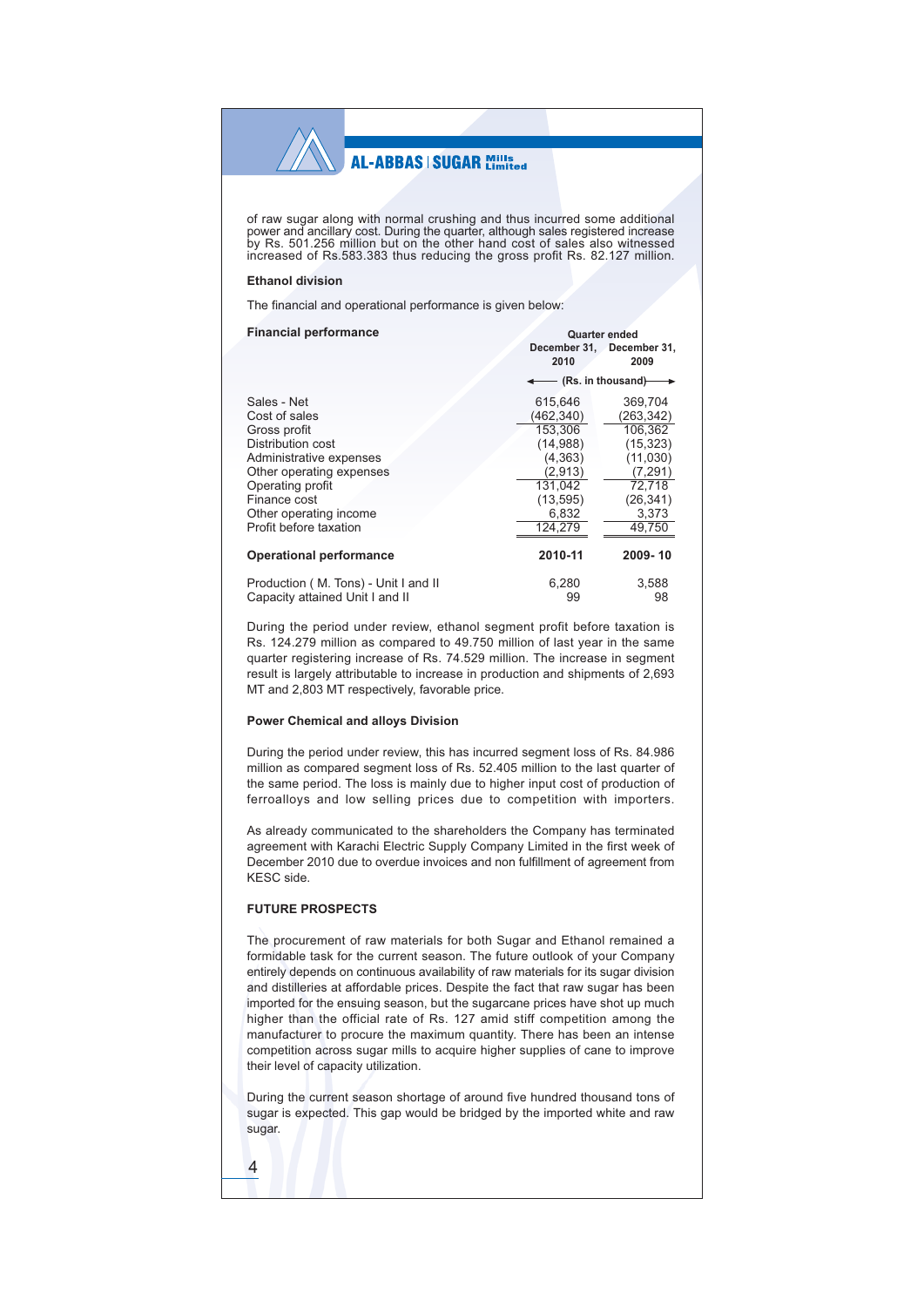of raw sugar along with normal crushing and thus incurred some additional power and ancillary cost. During the quarter, although sales registered increase by Rs. 501.256 million but on the other hand cost of sales also witnessed increased of Rs.583.383 thus reducing the gross profit Rs. 82.127 million.

### **Ethanol division**

The financial and operational performance is given below:

| <b>Financial performance</b>                                            |             | Quarter ended                                |  |  |  |
|-------------------------------------------------------------------------|-------------|----------------------------------------------|--|--|--|
|                                                                         | 2010        | December 31, December 31,<br>2009            |  |  |  |
|                                                                         |             | $\leftarrow$ (Rs. in thousand) $\rightarrow$ |  |  |  |
| Sales - Net                                                             | 615,646     | 369,704                                      |  |  |  |
| Cost of sales                                                           | (462, 340)  | (263, 342)                                   |  |  |  |
| Gross profit                                                            | 153.306     | 106,362                                      |  |  |  |
| Distribution cost                                                       | (14,988)    | (15, 323)                                    |  |  |  |
| Administrative expenses                                                 | (4, 363)    | (11,030)                                     |  |  |  |
| Other operating expenses                                                | (2,913)     | (7, 291)                                     |  |  |  |
| Operating profit                                                        | 131,042     | 72,718                                       |  |  |  |
| Finance cost                                                            | (13, 595)   | (26, 341)                                    |  |  |  |
| Other operating income                                                  | 6,832       | 3,373                                        |  |  |  |
| Profit before taxation                                                  | 124,279     | 49,750                                       |  |  |  |
| <b>Operational performance</b>                                          | 2010-11     | 2009-10                                      |  |  |  |
| Production (M. Tons) - Unit I and II<br>Capacity attained Unit I and II | 6,280<br>99 | 3,588<br>98                                  |  |  |  |

During the period under review, ethanol segment profit before taxation is Rs. 124.279 million as compared to 49.750 million of last year in the same quarter registering increase of Rs. 74.529 million. The increase in segment result is largely attributable to increase in production and shipments of 2,693 MT and 2,803 MT respectively, favorable price.

### **Power Chemical and alloys Division**

During the period under review, this has incurred segment loss of Rs. 84.986 million as compared segment loss of Rs. 52.405 million to the last quarter of the same period. The loss is mainly due to higher input cost of production of ferroalloys and low selling prices due to competition with importers.

As already communicated to the shareholders the Company has terminated agreement with Karachi Electric Supply Company Limited in the first week of December 2010 due to overdue invoices and non fulfillment of agreement from KESC side.

## **FUTURE PROSPECTS**

The procurement of raw materials for both Sugar and Ethanol remained a formidable task for the current season. The future outlook of your Company entirely depends on continuous availability of raw materials for its sugar division and distilleries at affordable prices. Despite the fact that raw sugar has been imported for the ensuing season, but the sugarcane prices have shot up much higher than the official rate of Rs. 127 amid stiff competition among the manufacturer to procure the maximum quantity. There has been an intense competition across sugar mills to acquire higher supplies of cane to improve their level of capacity utilization.

During the current season shortage of around five hundred thousand tons of sugar is expected. This gap would be bridged by the imported white and raw sugar.

 $\overline{4}$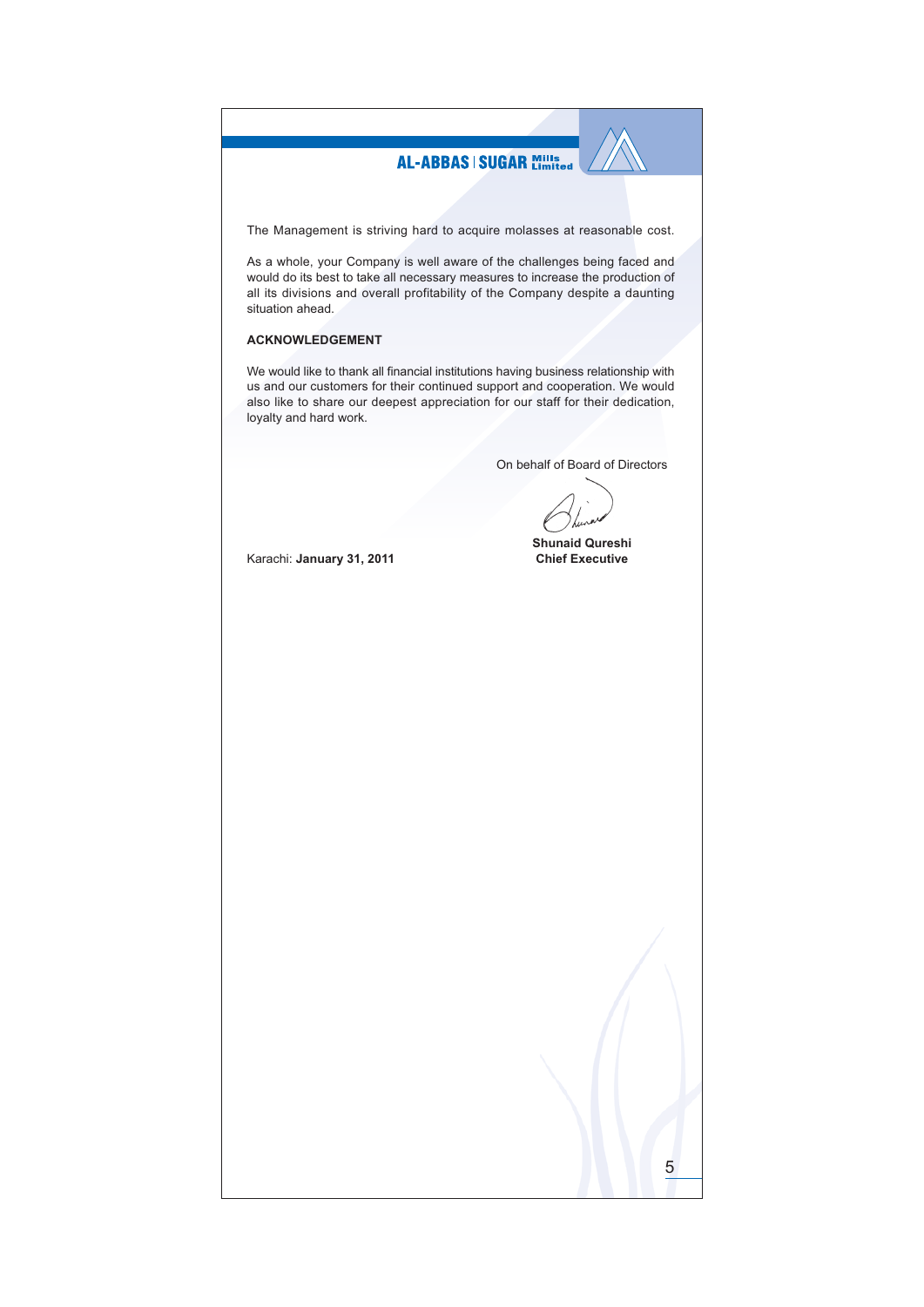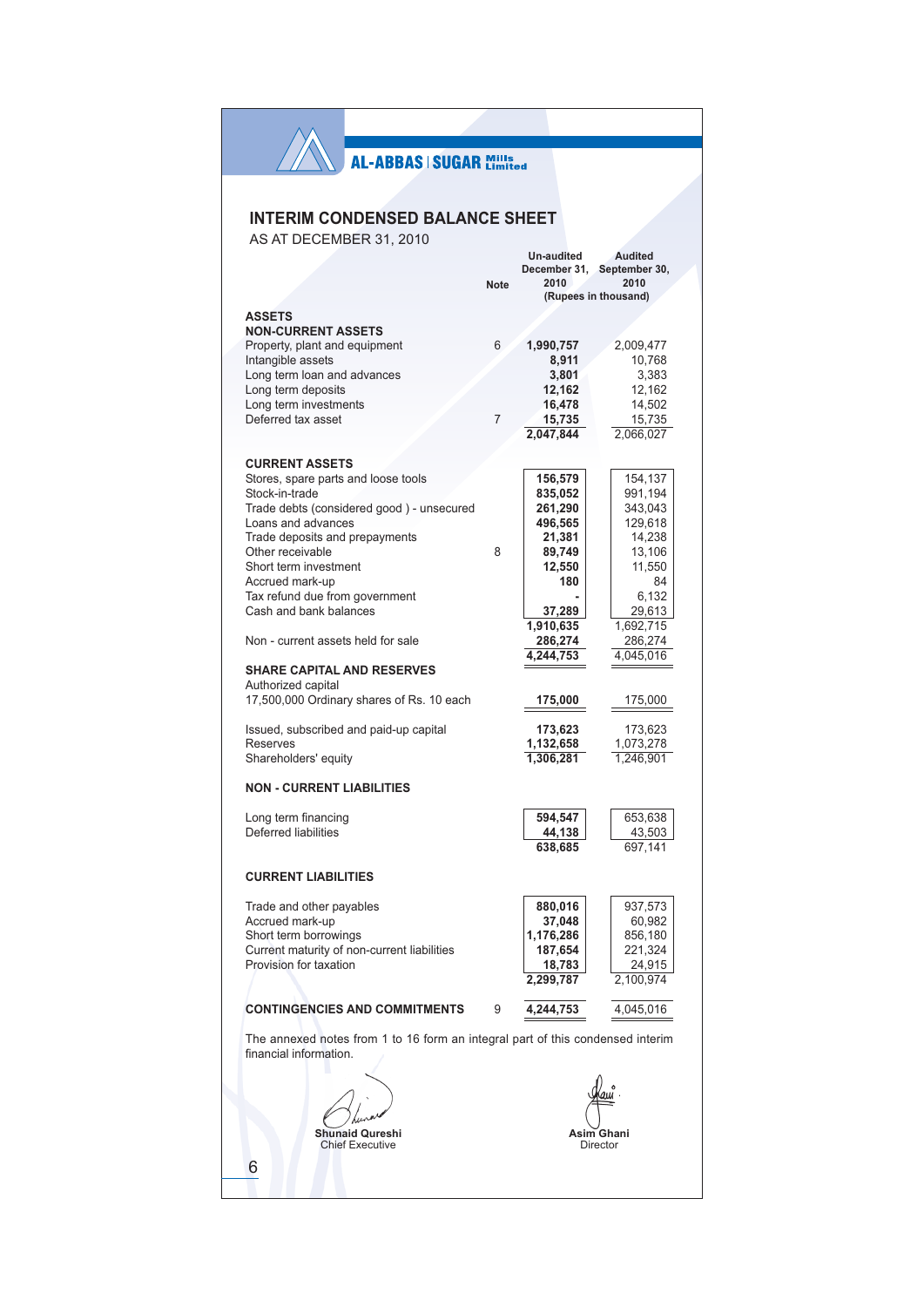## **INTERIM CONDENSED BALANCE SHEET**

AS AT DECEMBER 31, 2010

|                                                                                                          |             | Un-audited        | <b>Audited</b>                     |
|----------------------------------------------------------------------------------------------------------|-------------|-------------------|------------------------------------|
|                                                                                                          | <b>Note</b> | 2010              | December 31, September 30,<br>2010 |
|                                                                                                          |             |                   | (Rupees in thousand)               |
| <b>ASSETS</b><br><b>NON-CURRENT ASSETS</b>                                                               |             |                   |                                    |
| Property, plant and equipment                                                                            | 6           | 1,990,757         | 2,009,477                          |
| Intangible assets                                                                                        |             | 8,911             | 10,768                             |
| Long term loan and advances                                                                              |             | 3,801             | 3,383                              |
| Long term deposits<br>Long term investments                                                              |             | 12,162<br>16,478  | 12,162<br>14,502                   |
| Deferred tax asset                                                                                       | 7           | 15,735            | 15,735                             |
|                                                                                                          |             | 2,047,844         | 2,066,027                          |
|                                                                                                          |             |                   |                                    |
| <b>CURRENT ASSETS</b><br>Stores, spare parts and loose tools                                             |             | 156,579           | 154,137                            |
| Stock-in-trade                                                                                           |             | 835,052           | 991,194                            |
| Trade debts (considered good) - unsecured                                                                |             | 261,290           | 343,043                            |
| Loans and advances                                                                                       |             | 496,565           | 129,618                            |
| Trade deposits and prepayments                                                                           |             | 21,381            | 14,238                             |
| Other receivable                                                                                         | 8           | 89,749            | 13,106                             |
| Short term investment                                                                                    |             | 12,550<br>180     | 11,550<br>84                       |
| Accrued mark-up<br>Tax refund due from government                                                        |             |                   | 6,132                              |
| Cash and bank balances                                                                                   |             | 37,289            | 29,613                             |
|                                                                                                          |             | 1,910,635         | 1,692,715                          |
| Non - current assets held for sale                                                                       |             | 286,274           | 286,274                            |
|                                                                                                          |             | 4.244.753         | 4,045,016                          |
| <b>SHARE CAPITAL AND RESERVES</b>                                                                        |             |                   |                                    |
| Authorized capital<br>17,500,000 Ordinary shares of Rs. 10 each                                          |             | 175,000           | 175,000                            |
| Issued, subscribed and paid-up capital                                                                   |             | 173,623           | 173,623                            |
| <b>Reserves</b>                                                                                          |             | 1,132,658         | 1,073,278                          |
| Shareholders' equity                                                                                     |             | 1,306,281         | 1,246,901                          |
| <b>NON - CURRENT LIABILITIES</b>                                                                         |             |                   |                                    |
| Long term financing                                                                                      |             | 594,547           | 653,638                            |
| Deferred liabilities                                                                                     |             | 44,138            | 43,503                             |
|                                                                                                          |             | 638,685           | 697,141                            |
| <b>CURRENT LIABILITIES</b>                                                                               |             |                   |                                    |
|                                                                                                          |             |                   |                                    |
| Trade and other payables                                                                                 |             | 880,016           | 937,573                            |
| Accrued mark-up                                                                                          |             | 37,048            | 60,982                             |
| Short term borrowings                                                                                    |             | 1,176,286         | 856,180                            |
| Current maturity of non-current liabilities<br>Provision for taxation                                    |             | 187,654<br>18,783 | 221,324<br>24,915                  |
|                                                                                                          |             | 2,299,787         | 2,100,974                          |
| <b>CONTINGENCIES AND COMMITMENTS</b>                                                                     | 9           | 4,244,753         | 4,045,016                          |
| The annexed notes from 1 to 16 form an integral part of this condensed interim<br>financial information. |             |                   |                                    |
|                                                                                                          |             |                   |                                    |
|                                                                                                          |             |                   |                                    |
|                                                                                                          |             |                   |                                    |
| <b>Shunaid Qureshi</b>                                                                                   |             |                   |                                    |
| <b>Chief Executive</b>                                                                                   |             |                   | Asim Ghani<br>Director             |
| 6                                                                                                        |             |                   |                                    |
|                                                                                                          |             |                   |                                    |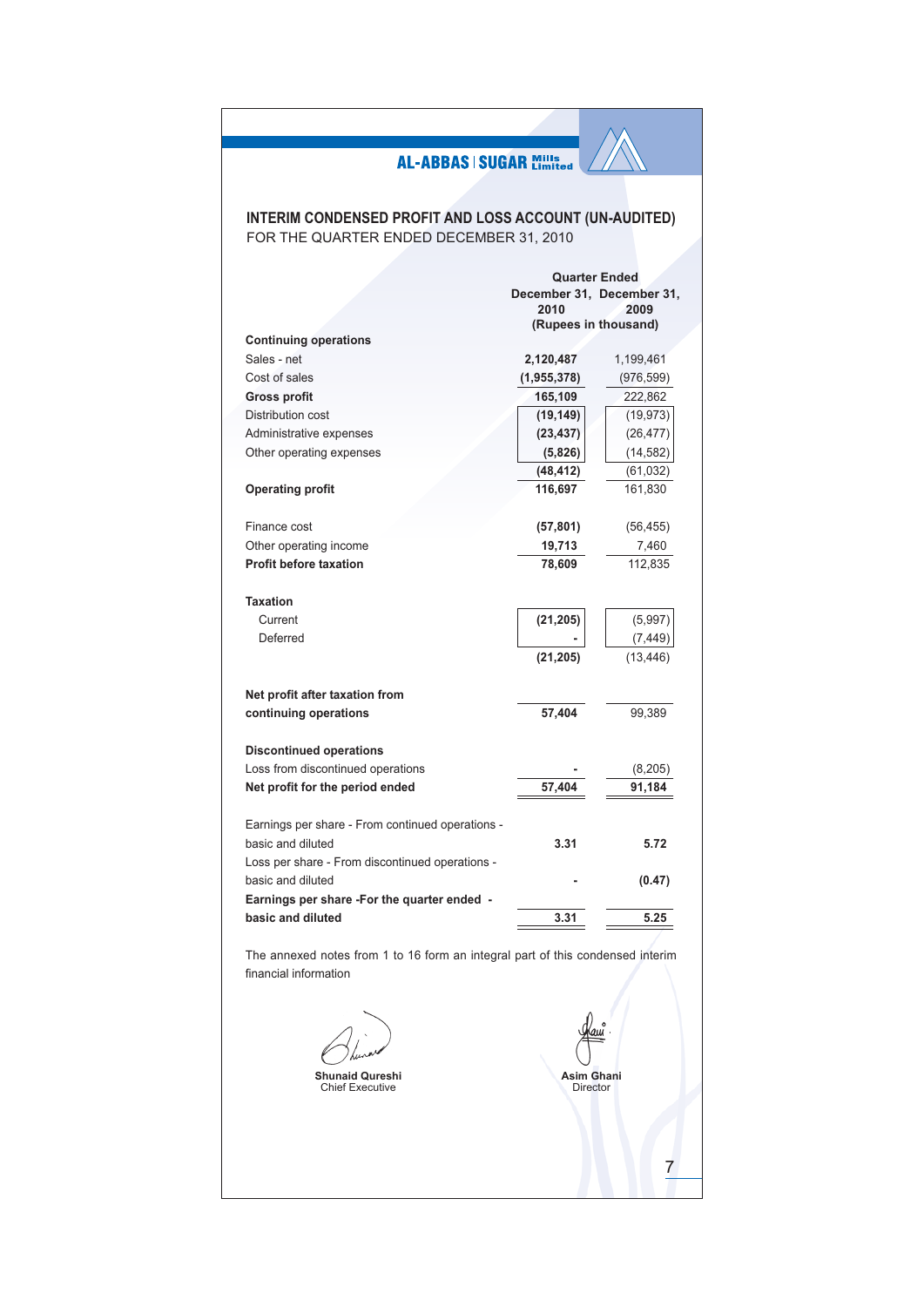## **INTERIM CONDENSED PROFIT AND LOSS ACCOUNT (UN-AUDITED)** FOR THE QUARTER ENDED DECEMBER 31, 2010

|                                                  | <b>Quarter Ended</b>      |            |  |  |
|--------------------------------------------------|---------------------------|------------|--|--|
|                                                  | December 31, December 31, |            |  |  |
|                                                  | 2010                      | 2009       |  |  |
|                                                  | (Rupees in thousand)      |            |  |  |
| <b>Continuing operations</b>                     |                           |            |  |  |
| Sales - net                                      | 2,120,487                 | 1,199,461  |  |  |
| Cost of sales                                    | (1, 955, 378)             | (976, 599) |  |  |
| <b>Gross profit</b>                              | 165,109                   | 222,862    |  |  |
| Distribution cost                                | (19, 149)                 | (19, 973)  |  |  |
| Administrative expenses                          | (23, 437)                 | (26, 477)  |  |  |
| Other operating expenses                         | (5,826)                   | (14, 582)  |  |  |
|                                                  | (48, 412)                 | (61, 032)  |  |  |
| <b>Operating profit</b>                          | 116,697                   | 161,830    |  |  |
| Finance cost                                     | (57, 801)                 | (56, 455)  |  |  |
| Other operating income                           | 19,713                    | 7,460      |  |  |
| <b>Profit before taxation</b>                    | 78,609                    | 112,835    |  |  |
| <b>Taxation</b>                                  |                           |            |  |  |
| Current                                          | (21, 205)                 | (5,997)    |  |  |
| Deferred                                         |                           | (7, 449)   |  |  |
|                                                  | (21, 205)                 | (13, 446)  |  |  |
| Net profit after taxation from                   |                           |            |  |  |
| continuing operations                            | 57.404                    | 99,389     |  |  |
| <b>Discontinued operations</b>                   |                           |            |  |  |
| Loss from discontinued operations                |                           | (8,205)    |  |  |
| Net profit for the period ended                  | 57,404                    | 91,184     |  |  |
| Earnings per share - From continued operations - |                           |            |  |  |
| basic and diluted                                | 3.31                      | 5.72       |  |  |
| Loss per share - From discontinued operations -  |                           |            |  |  |
| basic and diluted                                |                           | (0.47)     |  |  |
| Earnings per share -For the quarter ended -      |                           |            |  |  |
| basic and diluted                                | 3.31                      | 5.25       |  |  |
|                                                  |                           |            |  |  |

The annexed notes from 1 to 16 form an integral part of this condensed interim financial information

**Shunaid Qureshi** 

Chief Executive

Asim Ghani Director

 $\overline{7}$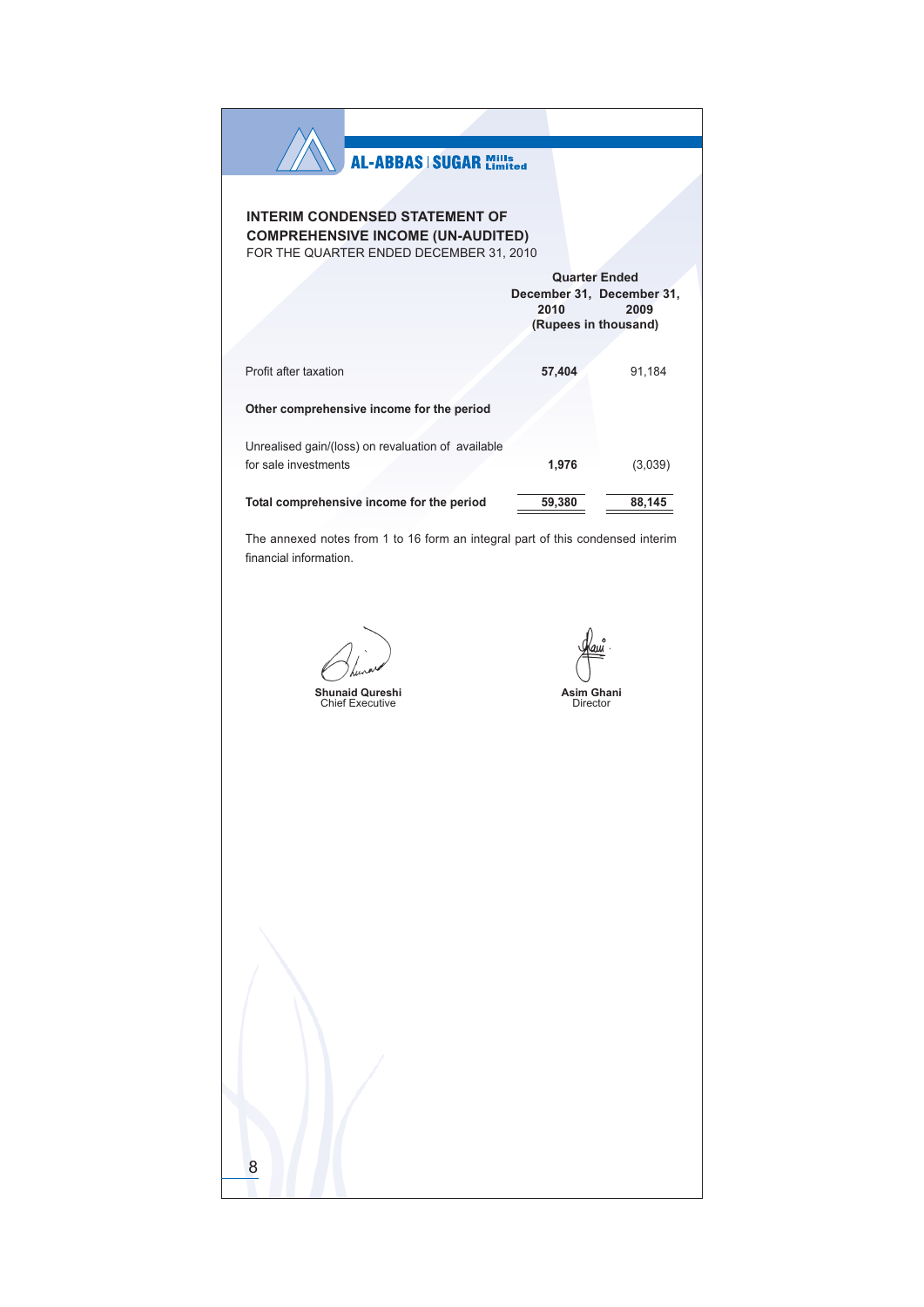| <b>AL-ABBAS   SUGAR Mills</b>                                                       |                                                                                   |         |
|-------------------------------------------------------------------------------------|-----------------------------------------------------------------------------------|---------|
| <b>INTERIM CONDENSED STATEMENT OF</b>                                               |                                                                                   |         |
| <b>COMPREHENSIVE INCOME (UN-AUDITED)</b><br>FOR THE QUARTER ENDED DECEMBER 31, 2010 |                                                                                   |         |
|                                                                                     | <b>Quarter Ended</b><br>December 31, December 31,<br>2010<br>(Rupees in thousand) | 2009    |
| Profit after taxation                                                               | 57,404                                                                            | 91,184  |
| Other comprehensive income for the period                                           |                                                                                   |         |
| Unrealised gain/(loss) on revaluation of available<br>for sale investments          | 1,976                                                                             | (3,039) |
| Total comprehensive income for the period                                           | 59,380                                                                            | 88,145  |
| <b>Shunaid Qureshi</b><br><b>Chief Executive</b>                                    | <b>Asim Ghani</b><br>Director                                                     |         |
|                                                                                     |                                                                                   |         |
|                                                                                     |                                                                                   |         |
|                                                                                     |                                                                                   |         |
|                                                                                     |                                                                                   |         |
|                                                                                     |                                                                                   |         |
|                                                                                     |                                                                                   |         |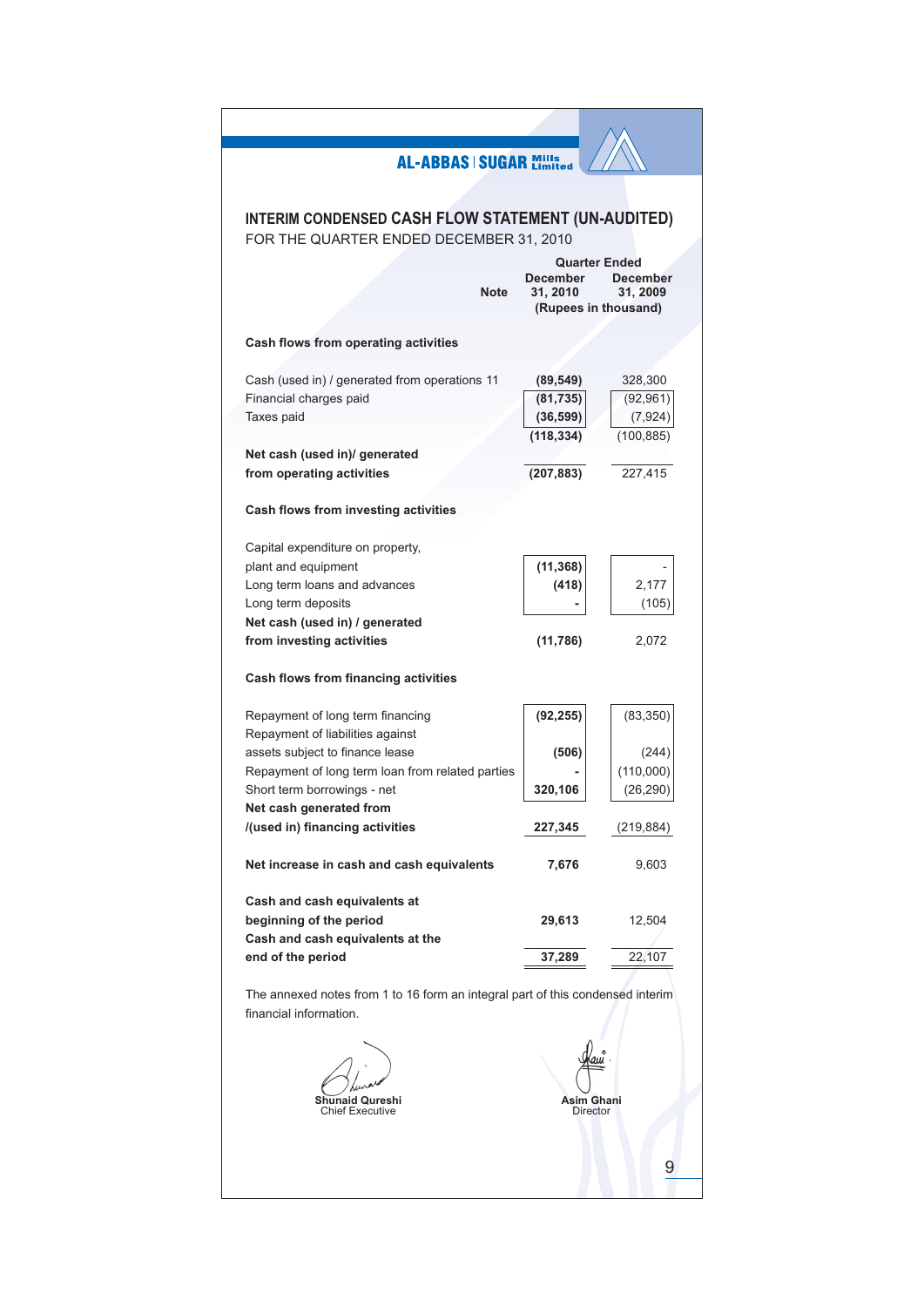| <b>AL-ABBAS   SUGAR Mills</b>                                                  |            |                                         |
|--------------------------------------------------------------------------------|------------|-----------------------------------------|
|                                                                                |            |                                         |
|                                                                                |            |                                         |
| <b>INTERIM CONDENSED CASH FLOW STATEMENT (UN-AUDITED)</b>                      |            |                                         |
| FOR THE QUARTER ENDED DECEMBER 31, 2010                                        |            |                                         |
|                                                                                | December   | <b>Quarter Ended</b><br><b>December</b> |
| <b>Note</b>                                                                    | 31.2010    | 31, 2009                                |
|                                                                                |            | (Rupees in thousand)                    |
|                                                                                |            |                                         |
| Cash flows from operating activities                                           |            |                                         |
| Cash (used in) / generated from operations 11                                  | (89, 549)  | 328,300                                 |
| Financial charges paid                                                         | (81, 735)  | (92, 961)                               |
| Taxes paid                                                                     | (36, 599)  | (7, 924)                                |
|                                                                                | (118, 334) | (100, 885)                              |
| Net cash (used in)/ generated                                                  |            |                                         |
| from operating activities                                                      | (207, 883) | 227,415                                 |
|                                                                                |            |                                         |
| Cash flows from investing activities                                           |            |                                         |
|                                                                                |            |                                         |
| Capital expenditure on property,                                               |            |                                         |
| plant and equipment                                                            | (11, 368)  |                                         |
| Long term loans and advances                                                   | (418)      | 2,177                                   |
| Long term deposits                                                             |            | (105)                                   |
| Net cash (used in) / generated                                                 |            |                                         |
| from investing activities                                                      | (11, 786)  | 2,072                                   |
|                                                                                |            |                                         |
| Cash flows from financing activities                                           |            |                                         |
| Repayment of long term financing                                               | (92, 255)  | (83, 350)                               |
| Repayment of liabilities against                                               |            |                                         |
| assets subject to finance lease                                                | (506)      | (244)                                   |
| Repayment of long term loan from related parties                               |            | (110,000)                               |
| Short term borrowings - net                                                    | 320,106    | (26, 290)                               |
| Net cash generated from                                                        |            |                                         |
| /(used in) financing activities                                                | 227,345    | (219, 884)                              |
|                                                                                |            |                                         |
| Net increase in cash and cash equivalents                                      | 7,676      | 9,603                                   |
|                                                                                |            |                                         |
| Cash and cash equivalents at                                                   |            |                                         |
| beginning of the period                                                        | 29,613     | 12,504                                  |
| Cash and cash equivalents at the                                               |            |                                         |
| end of the period                                                              | 37,289     | 22,107                                  |
| The annexed notes from 1 to 16 form an integral part of this condensed interim |            |                                         |
| financial information.                                                         |            |                                         |
|                                                                                |            |                                         |
|                                                                                |            |                                         |
|                                                                                |            |                                         |
|                                                                                |            |                                         |
| naid Qureshi                                                                   |            | Asim Ghani                              |
| <b>Chief Executive</b>                                                         |            | <b>Director</b>                         |
|                                                                                |            |                                         |
|                                                                                |            |                                         |
|                                                                                |            | 9                                       |
|                                                                                |            |                                         |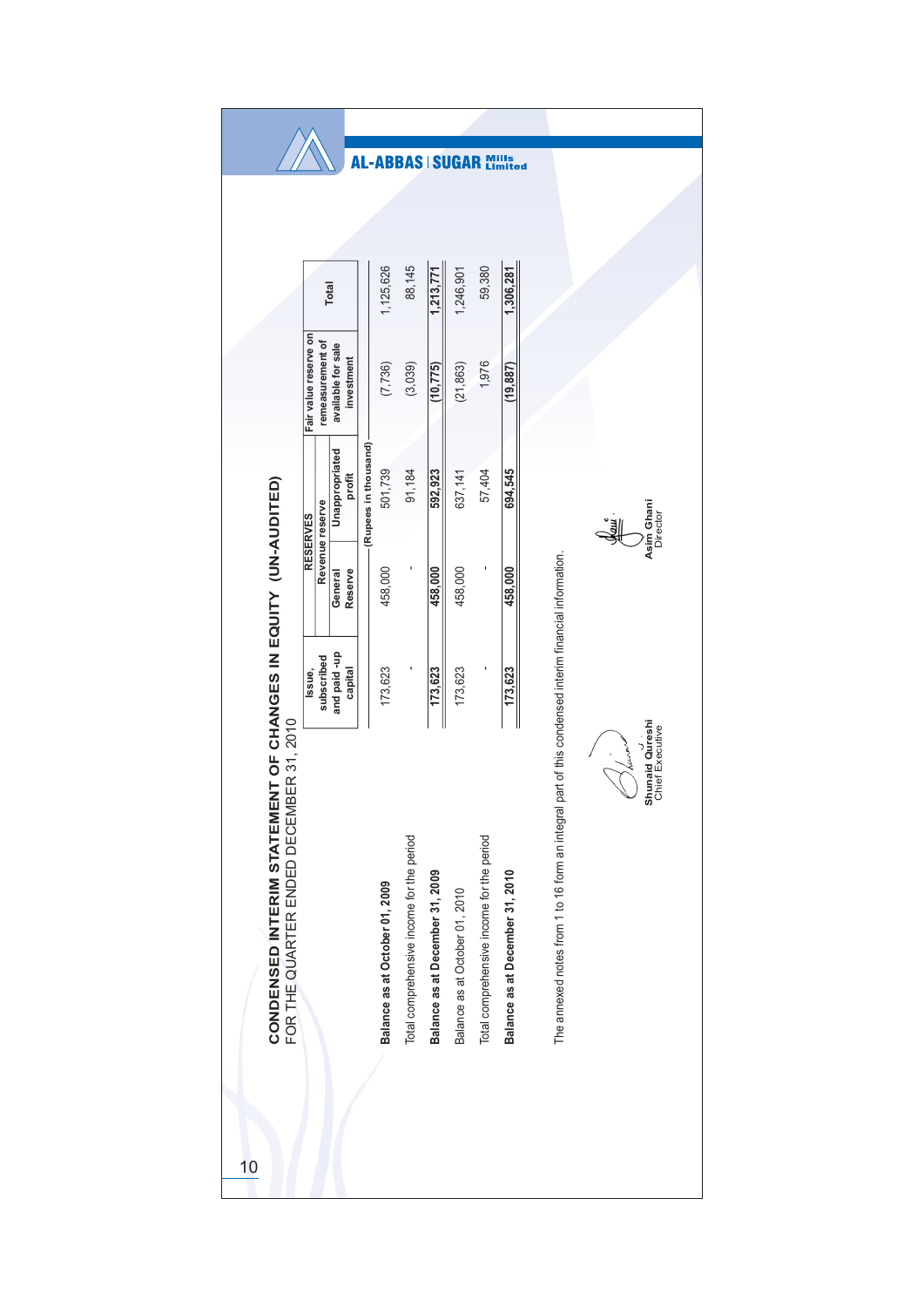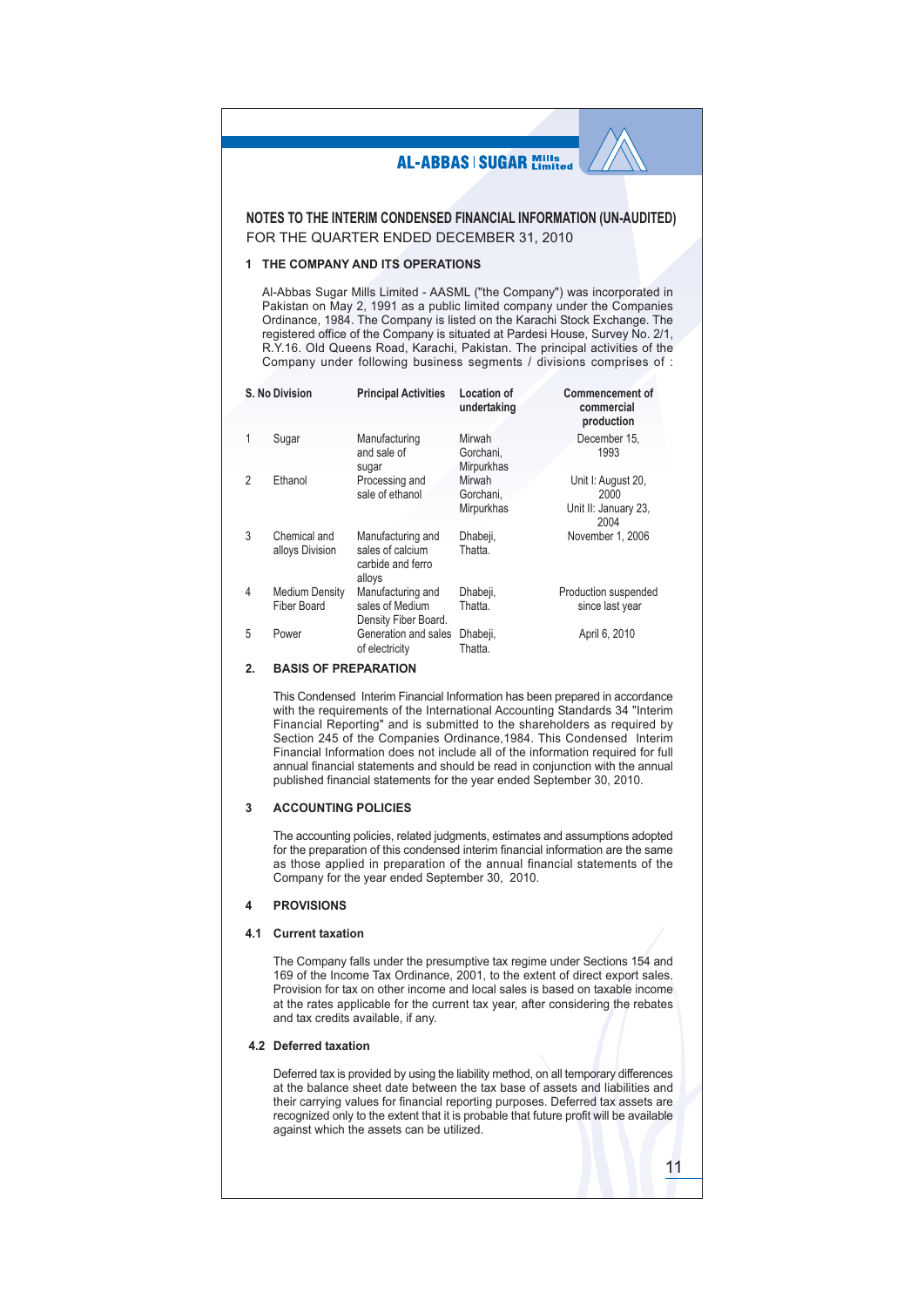#### **AL-ABBAS | SUGAR Mills** NOTES TO THE INTERIM CONDENSED FINANCIAL INFORMATION (UN-AUDITED) FOR THE QUARTER ENDED DECEMBER 31, 2010 1 THE COMPANY AND ITS OPERATIONS Al-Abbas Sugar Mills Limited - AASML ("the Company") was incorporated in Pakistan on May 2, 1991 as a public limited company under the Companies Ordinance, 1984. The Company is listed on the Karachi Stock Exchange. The registered office of the Company is situated at Pardesi House, Survey No. 2/1, R.Y.16. Old Queens Road, Karachi, Pakistan. The principal activities of the Company under following business segments / divisions comprises of : **Commencement of** S No Division **Principal Activities** Location of undertaking commercial production Sugar Manufacturing Mirwah December 15, 1 and sale of Gorchani. 1993 Mirpurkhas sugar Processing and Unit I: August 20,  $\mathfrak{p}$ Fthanol Mirwah sale of ethanol Gorchani. 2000 Mirpurkhas Unit II: January 23, 2004  $\overline{3}$ Chemical and Manufacturing and Dhabeji, November 1, 2006 sales of calcium alloys Division Thatta. carbide and ferro alloys  $\overline{4}$ **Medium Density** Manufacturing and Dhabeji, Production suspended **Fiber Board** sales of Medium Thatta. since last year Density Fiber Board. 5 Power Generation and sales Dhabeji, April 6, 2010 of electricity Thatta

#### $\mathfrak{p}$ **BASIS OF PREPARATION**

This Condensed Interim Financial Information has been prepared in accordance with the requirements of the International Accounting Standards 34 "Interim Financial Reporting" and is submitted to the shareholders as required by Section 245 of the Companies Ordinance, 1984. This Condensed Interim Financial Information does not include all of the information required for full annual financial statements and should be read in conjunction with the annual published financial statements for the year ended September 30, 2010.

#### **ACCOUNTING POLICIES**  $\overline{3}$

The accounting policies, related judgments, estimates and assumptions adopted for the preparation of this condensed interim financial information are the same as those applied in preparation of the annual financial statements of the Company for the year ended September 30, 2010.

#### **PROVISIONS**  $\overline{\mathbf{A}}$

### 4.1 Current taxation

The Company falls under the presumptive tax regime under Sections 154 and 169 of the Income Tax Ordinance, 2001, to the extent of direct export sales. Provision for tax on other income and local sales is based on taxable income at the rates applicable for the current tax year, after considering the rebates and tax credits available, if any.

### 4.2 Deferred taxation

Deferred tax is provided by using the liability method, on all temporary differences at the balance sheet date between the tax base of assets and liabilities and their carrying values for financial reporting purposes. Deferred tax assets are recognized only to the extent that it is probable that future profit will be available against which the assets can be utilized.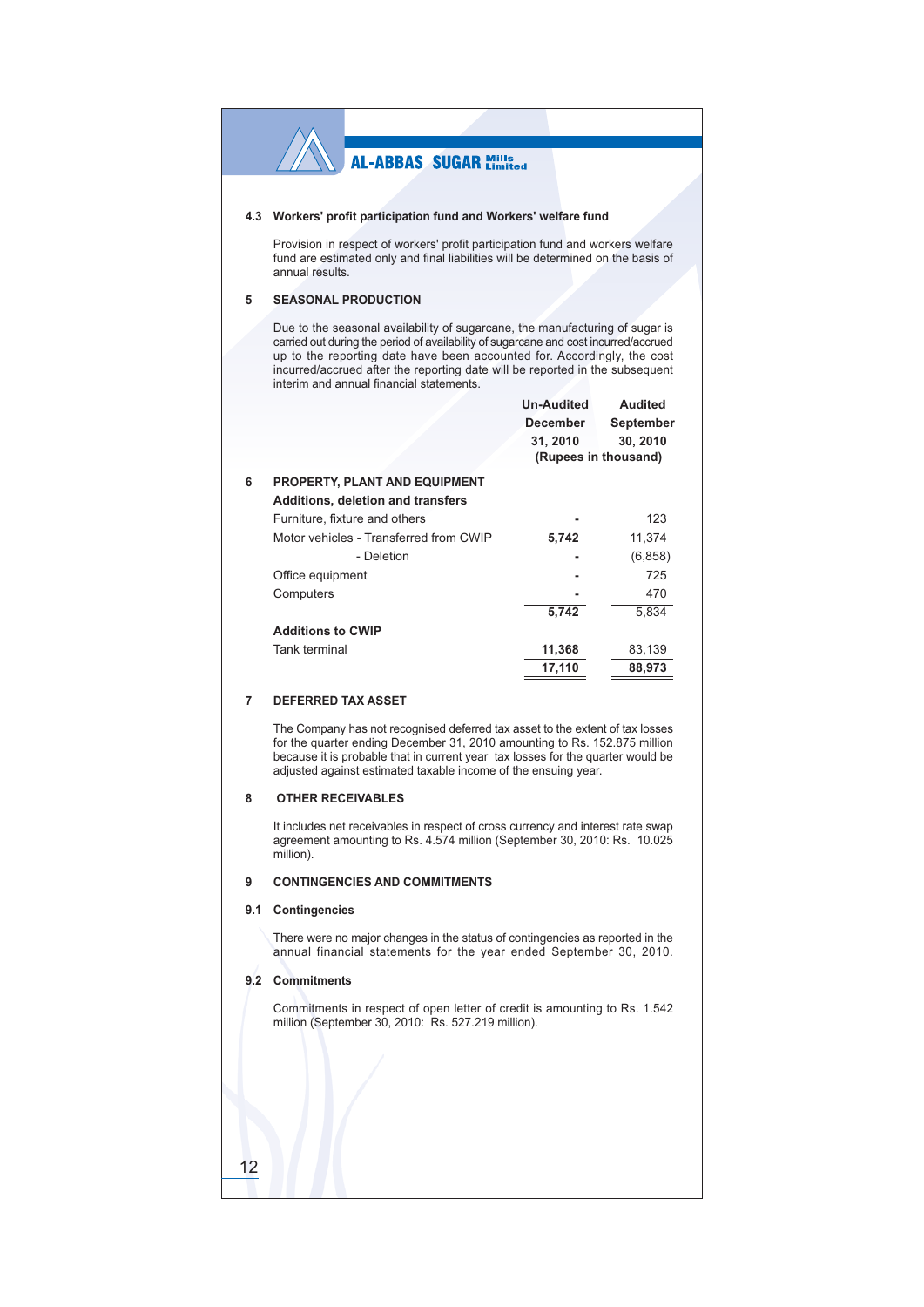### 4.3 Workers' profit participation fund and Workers' welfare fund

Provision in respect of workers' profit participation fund and workers welfare fund are estimated only and final liabilities will be determined on the basis of annual results.

#### **SEASONAL PRODUCTION** 5

6

Due to the seasonal availability of sugarcane, the manufacturing of sugar is carried out during the period of availability of sugarcane and cost incurred/accrued up to the reporting date have been accounted for. Accordingly, the cost incurred/accrued after the reporting date will be reported in the subsequent interim and annual financial statements.

|                                          | <b>Un-Audited</b><br><b>December</b> | <b>Audited</b><br>September      |
|------------------------------------------|--------------------------------------|----------------------------------|
|                                          | 31, 2010                             | 30, 2010<br>(Rupees in thousand) |
| PROPERTY, PLANT AND EQUIPMENT            |                                      |                                  |
| <b>Additions, deletion and transfers</b> |                                      |                                  |
| Furniture, fixture and others            |                                      | 123                              |
| Motor vehicles - Transferred from CWIP   | 5,742                                | 11,374                           |
| - Deletion                               |                                      | (6, 858)                         |
| Office equipment                         |                                      | 725                              |
| Computers                                |                                      | 470                              |
|                                          | 5,742                                | 5.834                            |
| <b>Additions to CWIP</b>                 |                                      |                                  |
| Tank terminal                            | 11,368                               | 83,139                           |
|                                          | 17,110                               | 88,973                           |

#### $\overline{7}$ DEFERRED TAX ASSET

The Company has not recognised deferred tax asset to the extent of tax losses for the quarter ending December 31, 2010 amounting to Rs. 152.875 million because it is probable that in current year tax losses for the quarter would be adjusted against estimated taxable income of the ensuing year.

#### **OTHER RECEIVABLES**  $\mathbf{8}$

It includes net receivables in respect of cross currency and interest rate swap agreement amounting to Rs. 4.574 million (September 30, 2010: Rs. 10.025 million).

#### **CONTINGENCIES AND COMMITMENTS**  $\alpha$

### 9.1 Contingencies

There were no major changes in the status of contingencies as reported in the annual financial statements for the year ended September 30, 2010.

### 9.2 Commitments

 $12$ 

Commitments in respect of open letter of credit is amounting to Rs. 1.542 million (September 30, 2010: Rs. 527.219 million).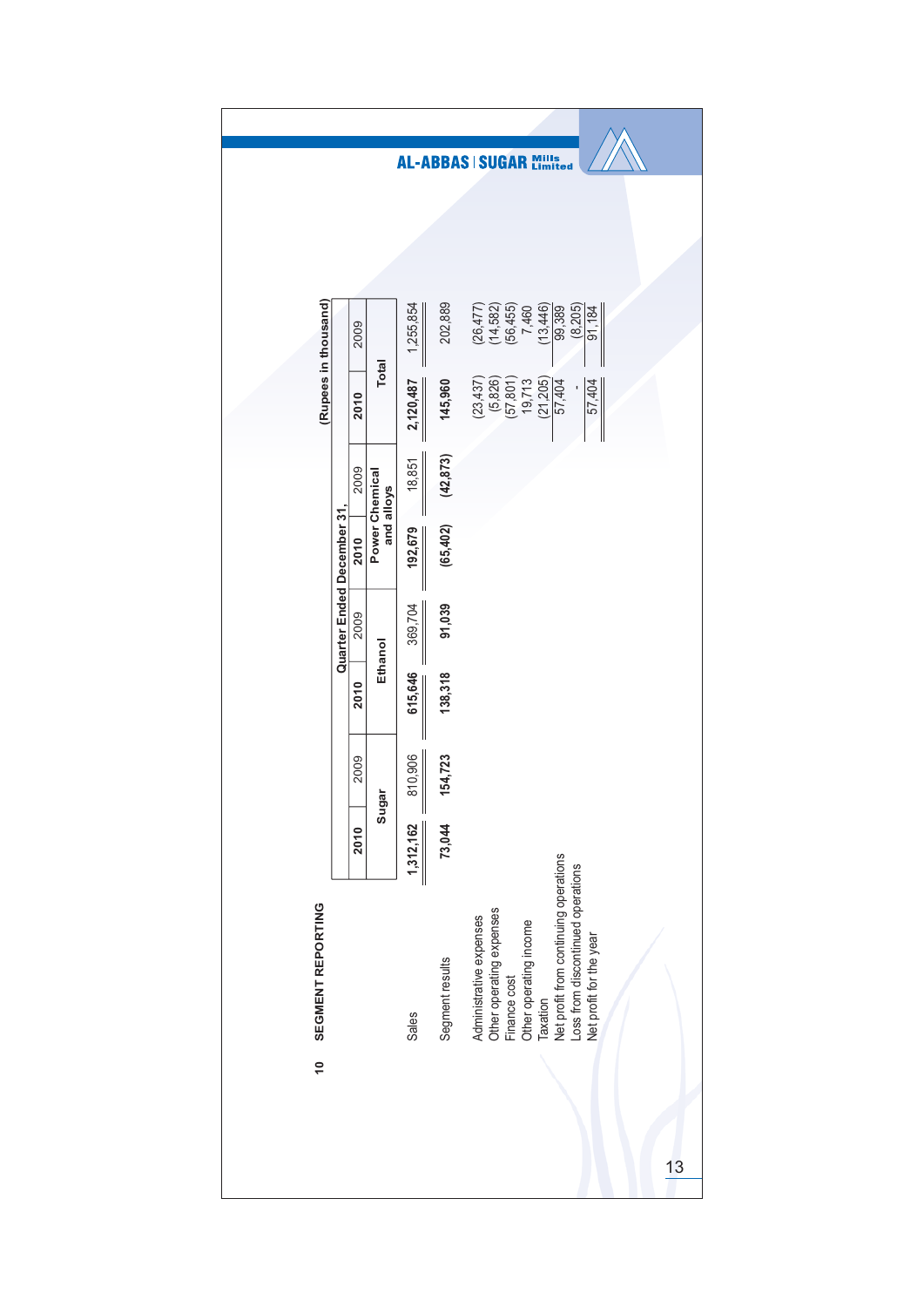|                      |                           |      |                |                |                 | AL-ABBAS   SUGAR Mills                                                                                                                                                                                             |
|----------------------|---------------------------|------|----------------|----------------|-----------------|--------------------------------------------------------------------------------------------------------------------------------------------------------------------------------------------------------------------|
|                      |                           |      |                |                |                 |                                                                                                                                                                                                                    |
|                      |                           |      |                |                |                 |                                                                                                                                                                                                                    |
| (Rupees in thousand) |                           | 2009 |                | 1,255,854      | 202,889         | $(26, 477)$<br>$(14, 582)$<br>$(56, 455)$<br>(13, 446)<br>(8, 205)<br>7,460<br>99,389<br>91,184                                                                                                                    |
|                      |                           | 2010 | <b>Total</b>   | 2,120,487      | 145,960         | (21, 205)<br>(5,826)<br>(23, 437)<br>$(57, 801)$<br>19,713<br>57,404<br>57,404                                                                                                                                     |
|                      |                           | 2009 | and alloys     | 18,851         | (42, 873)       |                                                                                                                                                                                                                    |
|                      |                           | 2010 | Power Chemical | 192,679        | (65, 402)       |                                                                                                                                                                                                                    |
|                      | Quarter Ended December 31 | 2009 |                | 369,704        | 91,039          |                                                                                                                                                                                                                    |
|                      |                           | 2010 | Ethanol        | 615,646        | 138,318         |                                                                                                                                                                                                                    |
|                      |                           | 2009 | jar            | 810,906        | 154,723         |                                                                                                                                                                                                                    |
|                      |                           | 2010 | Sug            | Ш<br>1,312,162 | 73,044          |                                                                                                                                                                                                                    |
| SEGMENT REPORTING    |                           |      |                | Sales          | Segment results | Net profit from continuing operations<br>Loss from discontinued operations<br>Other operating expenses<br>Administrative expenses<br>Other operating income<br>Net profit for the year<br>Finance cost<br>Taxation |
| $\frac{1}{2}$        |                           |      |                |                |                 |                                                                                                                                                                                                                    |
|                      |                           |      |                |                |                 |                                                                                                                                                                                                                    |
|                      |                           |      |                |                |                 | 13                                                                                                                                                                                                                 |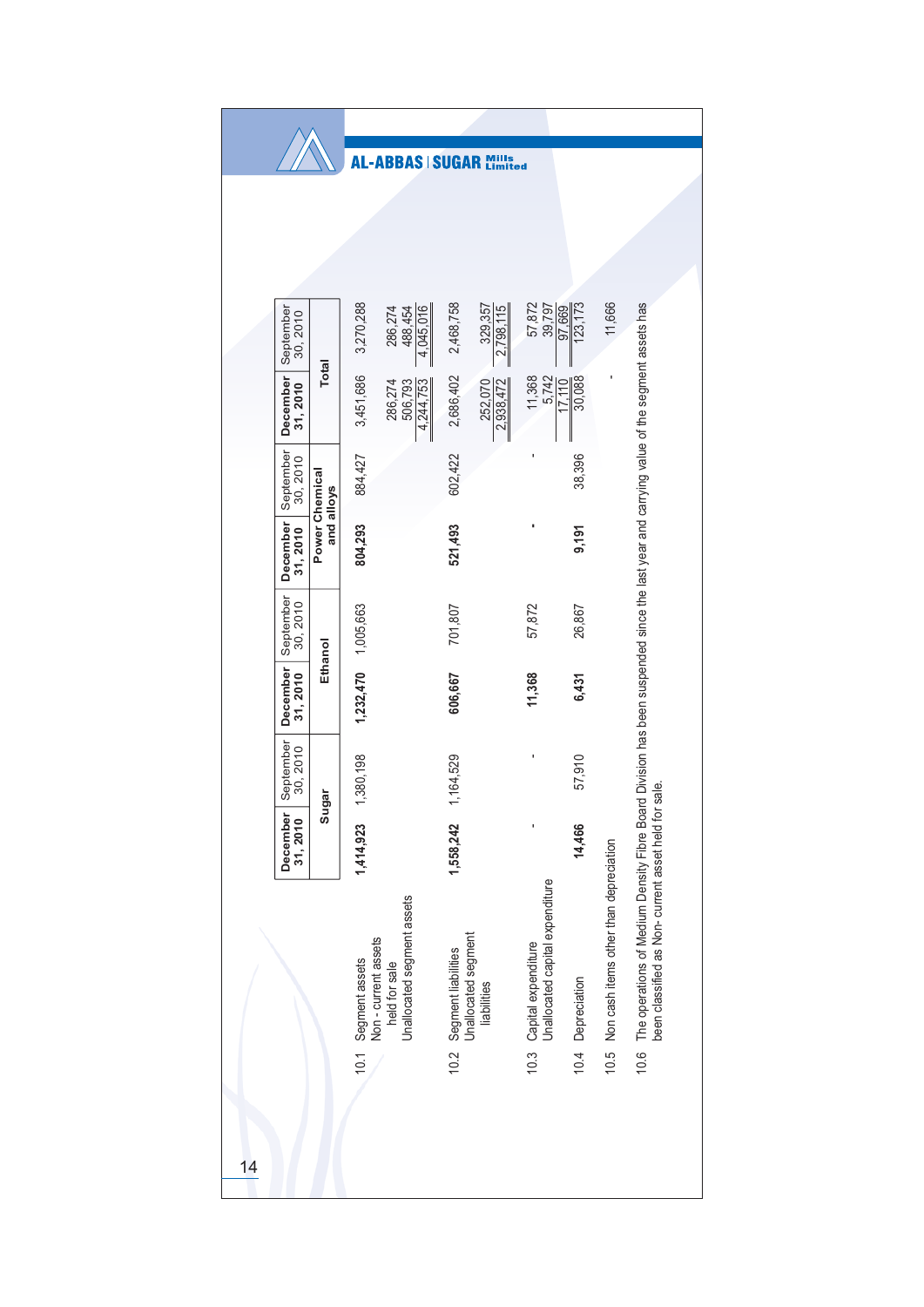|    |                       |                              |                                        | <b>-ABBAS</b>                               | <b>SUGAR</b>                               | ills<br>mited        |                                                             |                    |                                        |                                                                                                                                                                                            |
|----|-----------------------|------------------------------|----------------------------------------|---------------------------------------------|--------------------------------------------|----------------------|-------------------------------------------------------------|--------------------|----------------------------------------|--------------------------------------------------------------------------------------------------------------------------------------------------------------------------------------------|
|    |                       |                              |                                        |                                             |                                            |                      |                                                             |                    |                                        |                                                                                                                                                                                            |
|    |                       |                              |                                        |                                             |                                            |                      |                                                             |                    |                                        |                                                                                                                                                                                            |
|    |                       |                              |                                        |                                             |                                            |                      |                                                             |                    |                                        |                                                                                                                                                                                            |
|    | September<br>30, 2010 |                              | 3,270,288                              | 4,045,016<br>286,274<br>488,454             | 2,468,758                                  | 329,357<br>2,798,115 | 57,872<br>39,797                                            | 123, 173<br>97,669 | 11,666                                 |                                                                                                                                                                                            |
|    | December<br>31, 2010  | <b>Total</b>                 | 3,451,686                              | 286,274<br>506,793<br>4,244,753             | 2,686,402                                  | 252,070<br>2,938,472 | 11,368<br>5,742                                             | 30,088<br>011      |                                        |                                                                                                                                                                                            |
|    | September<br>30, 2010 |                              | 884,427                                |                                             | 602,422                                    |                      |                                                             | 38,396             |                                        |                                                                                                                                                                                            |
|    | December<br>31,2010   | Power Chemical<br>and alloys | 804,293                                |                                             | 521,493                                    |                      |                                                             | 9,191              |                                        |                                                                                                                                                                                            |
|    | September<br>30, 2010 | Ethanol                      |                                        |                                             | 701,807                                    |                      | 57,872                                                      | 26,867             |                                        |                                                                                                                                                                                            |
|    | December<br>31,2010   |                              | $1,232,470$ $1,005,663$                |                                             | 606,667                                    |                      | 11,368                                                      | 6,431              |                                        |                                                                                                                                                                                            |
|    | September<br>30, 2010 | iar                          | 1,380,198                              |                                             | 1,164,529                                  |                      | ı                                                           | 57,910             |                                        | sale.                                                                                                                                                                                      |
|    | December<br>31, 2010  | Sug                          | 1,414,923                              |                                             | 1,558,242                                  |                      |                                                             | 14,466             |                                        |                                                                                                                                                                                            |
|    |                       |                              | Segment assets<br>Non - current assets | Unallocated segment assets<br>held for sale | Unallocated segment<br>Segment liabilities | liabilities          | 10.3 Capital expenditure<br>Unallocated capital expenditure | Depreciation       | Non cash items other than depreciation | The operations of Medium Density Fibre Board Division has been suspended since the last year and carrying value of the segment assets has<br>been classified as Non-current asset held for |
|    |                       |                              | 10.1                                   |                                             | 10.2                                       |                      |                                                             | 10.4               | 10.5                                   | 10.6                                                                                                                                                                                       |
|    |                       |                              |                                        |                                             |                                            |                      |                                                             |                    |                                        |                                                                                                                                                                                            |
| 14 |                       |                              |                                        |                                             |                                            |                      |                                                             |                    |                                        |                                                                                                                                                                                            |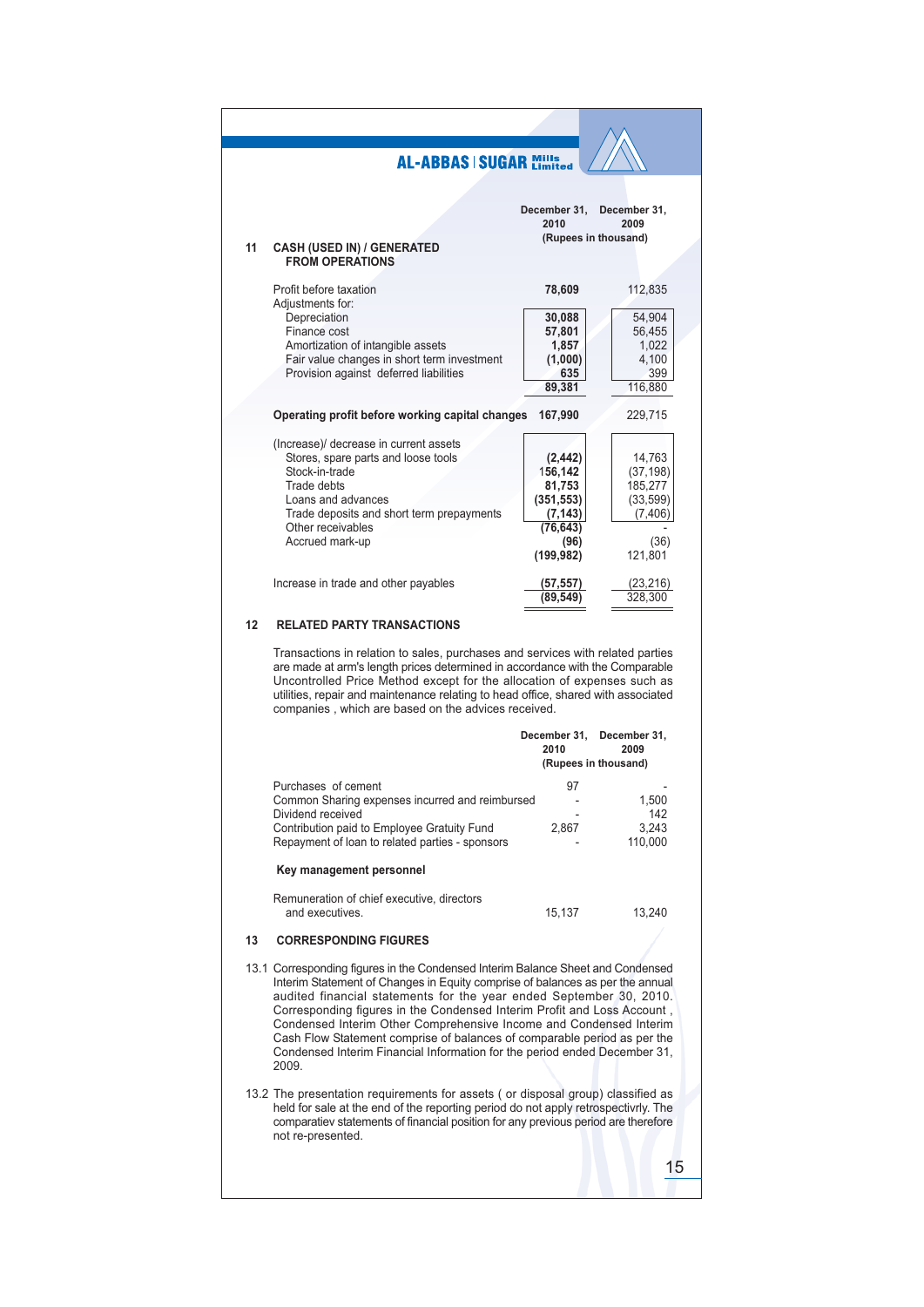|    | <b>AL-ABBAS   SUGAR Mills</b>                                                                                                                                                                                                                                                                                                                                                         |                                   |                      |
|----|---------------------------------------------------------------------------------------------------------------------------------------------------------------------------------------------------------------------------------------------------------------------------------------------------------------------------------------------------------------------------------------|-----------------------------------|----------------------|
|    |                                                                                                                                                                                                                                                                                                                                                                                       |                                   |                      |
|    |                                                                                                                                                                                                                                                                                                                                                                                       | December 31, December 31,<br>2010 | 2009                 |
|    |                                                                                                                                                                                                                                                                                                                                                                                       | (Rupees in thousand)              |                      |
| 11 | <b>CASH (USED IN) / GENERATED</b><br><b>FROM OPERATIONS</b>                                                                                                                                                                                                                                                                                                                           |                                   |                      |
|    | Profit before taxation                                                                                                                                                                                                                                                                                                                                                                |                                   |                      |
|    | Adjustments for:                                                                                                                                                                                                                                                                                                                                                                      | 78,609                            | 112,835              |
|    | Depreciation                                                                                                                                                                                                                                                                                                                                                                          | 30,088                            | 54,904               |
|    | Finance cost                                                                                                                                                                                                                                                                                                                                                                          | 57,801                            | 56,455               |
|    | Amortization of intangible assets                                                                                                                                                                                                                                                                                                                                                     | 1,857                             | 1,022                |
|    | Fair value changes in short term investment                                                                                                                                                                                                                                                                                                                                           | (1,000)                           | 4,100                |
|    | Provision against deferred liabilities                                                                                                                                                                                                                                                                                                                                                | 635                               | 399                  |
|    |                                                                                                                                                                                                                                                                                                                                                                                       | 89,381                            | 116,880              |
|    | Operating profit before working capital changes                                                                                                                                                                                                                                                                                                                                       | 167,990                           | 229,715              |
|    |                                                                                                                                                                                                                                                                                                                                                                                       |                                   |                      |
|    | (Increase)/ decrease in current assets                                                                                                                                                                                                                                                                                                                                                |                                   |                      |
|    | Stores, spare parts and loose tools                                                                                                                                                                                                                                                                                                                                                   | (2, 442)                          | 14,763               |
|    | Stock-in-trade                                                                                                                                                                                                                                                                                                                                                                        | 156,142                           | (37, 198)            |
|    | Trade debts                                                                                                                                                                                                                                                                                                                                                                           | 81,753                            | 185,277              |
|    | Loans and advances                                                                                                                                                                                                                                                                                                                                                                    | (351, 553)                        | (33, 599)            |
|    | Trade deposits and short term prepayments                                                                                                                                                                                                                                                                                                                                             | (7, 143)                          | (7,406)              |
|    | Other receivables                                                                                                                                                                                                                                                                                                                                                                     | (76, 643)                         |                      |
|    | Accrued mark-up                                                                                                                                                                                                                                                                                                                                                                       | (96)<br>(199,982)                 | (36)<br>121,801      |
|    |                                                                                                                                                                                                                                                                                                                                                                                       |                                   |                      |
|    | Increase in trade and other payables                                                                                                                                                                                                                                                                                                                                                  | (57, 557)                         | (23, 216)            |
|    |                                                                                                                                                                                                                                                                                                                                                                                       | (89,549                           | 328,300              |
| 12 | <b>RELATED PARTY TRANSACTIONS</b>                                                                                                                                                                                                                                                                                                                                                     |                                   |                      |
|    | Transactions in relation to sales, purchases and services with related parties<br>are made at arm's length prices determined in accordance with the Comparable<br>Uncontrolled Price Method except for the allocation of expenses such as<br>utilities, repair and maintenance relating to head office, shared with associated<br>companies, which are based on the advices received. |                                   |                      |
|    |                                                                                                                                                                                                                                                                                                                                                                                       | December 31,<br>2010              | December 31,<br>2009 |
|    |                                                                                                                                                                                                                                                                                                                                                                                       | (Rupees in thousand)              |                      |
|    | Purchases of cement                                                                                                                                                                                                                                                                                                                                                                   | 97                                |                      |
|    | Common Sharing expenses incurred and reimbursed                                                                                                                                                                                                                                                                                                                                       |                                   | 1,500                |
|    | Dividend received                                                                                                                                                                                                                                                                                                                                                                     |                                   | 142                  |
|    | Contribution paid to Employee Gratuity Fund                                                                                                                                                                                                                                                                                                                                           | 2,867                             | 3,243                |
|    | Repayment of loan to related parties - sponsors                                                                                                                                                                                                                                                                                                                                       |                                   | 110,000              |
|    | Key management personnel                                                                                                                                                                                                                                                                                                                                                              |                                   |                      |
|    | Remuneration of chief executive, directors                                                                                                                                                                                                                                                                                                                                            |                                   |                      |
|    | and executives.                                                                                                                                                                                                                                                                                                                                                                       | 15,137                            | 13,240               |
| 13 |                                                                                                                                                                                                                                                                                                                                                                                       |                                   |                      |
|    | <b>CORRESPONDING FIGURES</b>                                                                                                                                                                                                                                                                                                                                                          |                                   |                      |
|    | 13.1 Corresponding figures in the Condensed Interim Balance Sheet and Condensed                                                                                                                                                                                                                                                                                                       |                                   |                      |

- Interim Statement of Changes in Equity comprise of balances as per the annual audited financial statements for the year ended September 30, 2010. Corresponding figures in the Condensed Interim Profit and Loss Account, Conceptioning rigides in the condensed interiment and Ecos Account.<br>
Condensed Interim Other Comprehensive Income and Condensed Interim<br>
Cash Flow Statement comprise of balances of comparable period as per the<br>
Condensed I 2009.
- 13.2 The presentation requirements for assets (or disposal group) classified as<br>held for sale at the end of the reporting period do not apply retrospectivrly. The<br>comparatiev statements of financial position for any previo not re-presented.

 $15$